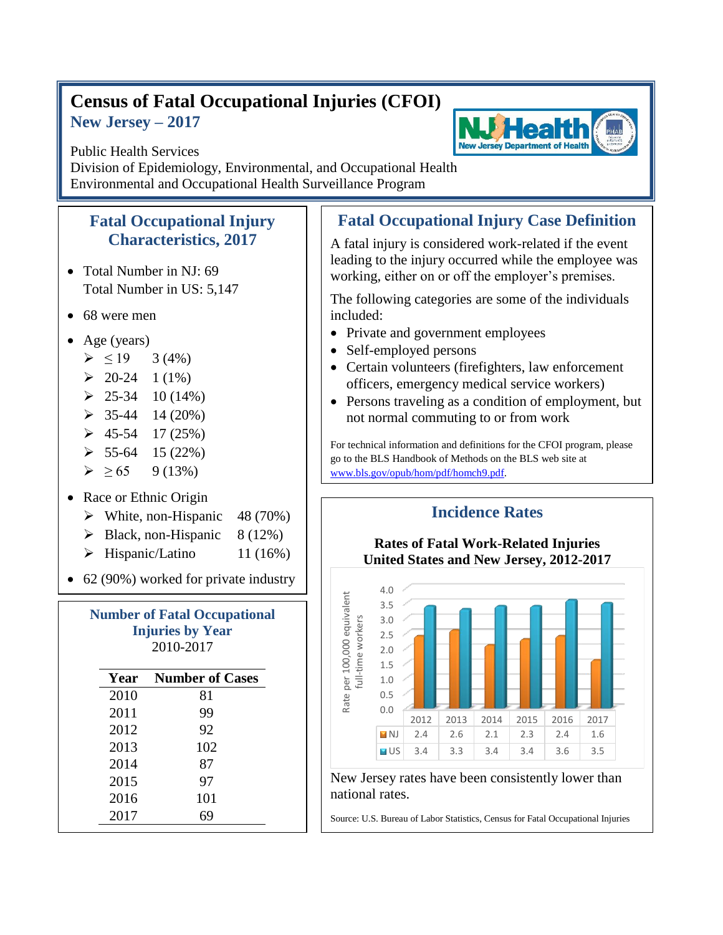## **Census of Fatal Occupational Injuries (CFOI) New Jersey – 2017**



Public Health Services Division of Epidemiology, Environmental, and Occupational Health Environmental and Occupational Health Surveillance Program

## **Fatal Occupational Injury Characteristics, 2017**

- Total Number in NJ: 69 Total Number in US: 5,147
- 68 were men
- Age (years)
	- $> 19$  3 (4%)
	- $\geq 20-24$  1 (1%)
	- $\geq 25-34$  10 (14%)
	- $\geq$  35-44 14 (20%)
	- $\geq 45-54$  17 (25%)
	- $\geq 55-64$  15 (22%)
	- $\triangleright$  > 65 9 (13%)

## • Race or Ethnic Origin

- $\triangleright$  White, non-Hispanic 48 (70%)
- $\triangleright$  Black, non-Hispanic 8 (12%)
- $\triangleright$  Hispanic/Latino 11 (16%)

• 62 (90%) worked for private industry

| <b>Number of Fatal Occupational</b><br><b>Injuries by Year</b><br>2010-2017 |                        |  |
|-----------------------------------------------------------------------------|------------------------|--|
| Year                                                                        | <b>Number of Cases</b> |  |
| 2010                                                                        | 81                     |  |
| 2011                                                                        | 99                     |  |
| 2012                                                                        | 92                     |  |
| 2013                                                                        | 102                    |  |
| 2014                                                                        | 87                     |  |
| 2015                                                                        | 97                     |  |
| 2016                                                                        | 101                    |  |
| 2017                                                                        | 69                     |  |

## **Fatal Occupational Injury Case Definition**

A fatal injury is considered work-related if the event leading to the injury occurred while the employee was working, either on or off the employer's premises.

The following categories are some of the individuals included:

- Private and government employees
- Self-employed persons
- Certain volunteers (firefighters, law enforcement officers, emergency medical service workers)
- Persons traveling as a condition of employment, but not normal commuting to or from work

For technical information and definitions for the CFOI program, please go to the BLS Handbook of Methods on the BLS web site at [www.bls.gov/opub/hom/pdf/homch9.pdf.](file:///C:/WINNT/Profiles/borjan_m/Local%20Settings/Temporary%20Internet%20Files/Content.Outlook/9BTDUUSY/www.bls.gov/opub/hom/pdf/homch9.pdf)



New Jersey rates have been consistently lower than national rates.

Source: U.S. Bureau of Labor Statistics, Census for Fatal Occupational Injuries